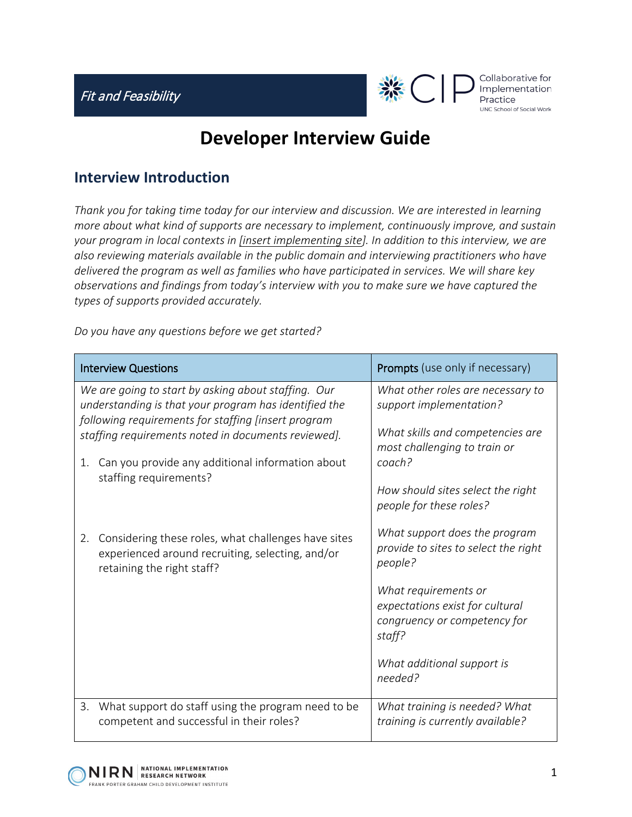

Collaborative for Implementation UNC School of Social Work

## **Developer Interview Guide**

## **Interview Introduction**

*Thank you for taking time today for our interview and discussion. We are interested in learning more about what kind of supports are necessary to implement, continuously improve, and sustain your program in local contexts in [insert implementing site]. In addition to this interview, we are also reviewing materials available in the public domain and interviewing practitioners who have delivered the program as well as families who have participated in services. We will share key observations and findings from today's interview with you to make sure we have captured the types of supports provided accurately.*

*Do you have any questions before we get started?*

| <b>Interview Questions</b>                                                                                                                                                                                                 |                                                                                                                                       | <b>Prompts</b> (use only if necessary)                                                                                                                                                                                         |
|----------------------------------------------------------------------------------------------------------------------------------------------------------------------------------------------------------------------------|---------------------------------------------------------------------------------------------------------------------------------------|--------------------------------------------------------------------------------------------------------------------------------------------------------------------------------------------------------------------------------|
| We are going to start by asking about staffing. Our<br>understanding is that your program has identified the<br>following requirements for staffing [insert program<br>staffing requirements noted in documents reviewed]. |                                                                                                                                       | What other roles are necessary to<br>support implementation?<br>What skills and competencies are<br>most challenging to train or                                                                                               |
| 1.                                                                                                                                                                                                                         | Can you provide any additional information about<br>staffing requirements?                                                            | coach?<br>How should sites select the right<br>people for these roles?                                                                                                                                                         |
| 2.                                                                                                                                                                                                                         | Considering these roles, what challenges have sites<br>experienced around recruiting, selecting, and/or<br>retaining the right staff? | What support does the program<br>provide to sites to select the right<br>people?<br>What requirements or<br>expectations exist for cultural<br>congruency or competency for<br>staff?<br>What additional support is<br>needed? |
| 3.                                                                                                                                                                                                                         | What support do staff using the program need to be<br>competent and successful in their roles?                                        | What training is needed? What<br>training is currently available?                                                                                                                                                              |

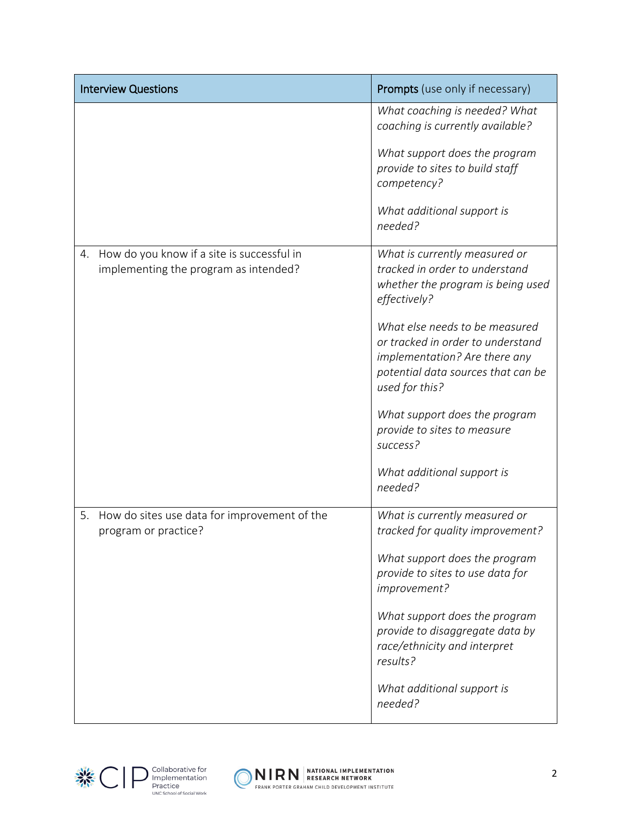| <b>Interview Questions</b>                                                                | <b>Prompts</b> (use only if necessary)                                                                                                                       |
|-------------------------------------------------------------------------------------------|--------------------------------------------------------------------------------------------------------------------------------------------------------------|
|                                                                                           | What coaching is needed? What<br>coaching is currently available?                                                                                            |
|                                                                                           | What support does the program<br>provide to sites to build staff<br>competency?                                                                              |
|                                                                                           | What additional support is<br>needed?                                                                                                                        |
| How do you know if a site is successful in<br>4.<br>implementing the program as intended? | What is currently measured or<br>tracked in order to understand<br>whether the program is being used<br>effectively?                                         |
|                                                                                           | What else needs to be measured<br>or tracked in order to understand<br>implementation? Are there any<br>potential data sources that can be<br>used for this? |
|                                                                                           | What support does the program<br>provide to sites to measure<br>success?                                                                                     |
|                                                                                           | What additional support is<br>needed?                                                                                                                        |
| How do sites use data for improvement of the<br>5.<br>program or practice?                | What is currently measured or<br>tracked for quality improvement?                                                                                            |
|                                                                                           | What support does the program<br>provide to sites to use data for<br>improvement?                                                                            |
|                                                                                           | What support does the program<br>provide to disaggregate data by<br>race/ethnicity and interpret<br>results?                                                 |
|                                                                                           | What additional support is<br>needed?                                                                                                                        |